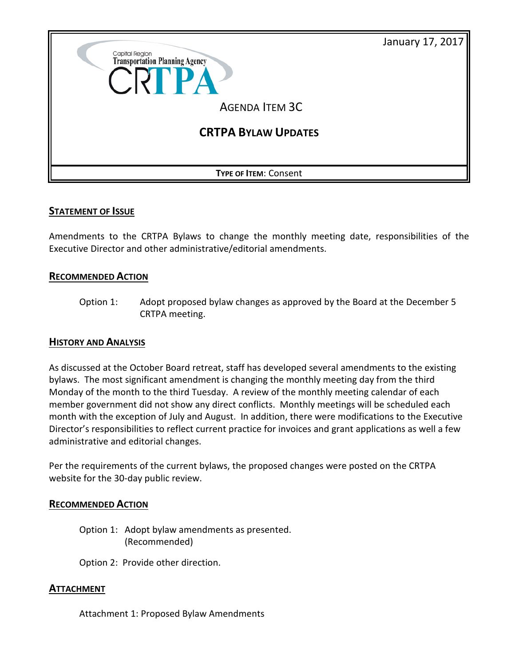

## **STATEMENT OF ISSUE**

Amendments to the CRTPA Bylaws to change the monthly meeting date, responsibilities of the Executive Director and other administrative/editorial amendments.

## **RECOMMENDED ACTION**

Option 1: Adopt proposed bylaw changes as approved by the Board at the December 5 CRTPA meeting.

### **HISTORY AND ANALYSIS**

As discussed at the October Board retreat, staff has developed several amendments to the existing bylaws. The most significant amendment is changing the monthly meeting day from the third Monday of the month to the third Tuesday. A review of the monthly meeting calendar of each member government did not show any direct conflicts. Monthly meetings will be scheduled each month with the exception of July and August. In addition, there were modifications to the Executive Director's responsibilities to reflect current practice for invoices and grant applications as well a few administrative and editorial changes.

Per the requirements of the current bylaws, the proposed changes were posted on the CRTPA website for the 30-day public review.

### **RECOMMENDED ACTION**

Option 1: Adopt bylaw amendments as presented. (Recommended)

Option 2: Provide other direction.

## **ATTACHMENT**

Attachment 1: Proposed Bylaw Amendments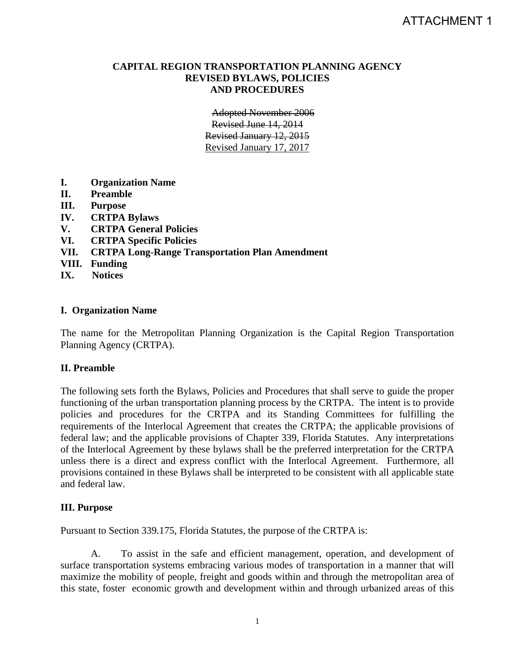### **CAPITAL REGION TRANSPORTATION PLANNING AGENCY REVISED BYLAWS, POLICIES AND PROCEDURES**

Adopted November 2006 Revised June 14, 2014 Revised January 12, 2015 Revised January 17, 2017

- **I. Organization Name**
- **II. Preamble**
- **III. Purpose**
- **IV. CRTPA Bylaws**
- **V. CRTPA General Policies**
- **VI. CRTPA Specific Policies**
- **VII. CRTPA Long-Range Transportation Plan Amendment**
- **VIII. Funding**
- **IX. Notices**

### **I. Organization Name**

The name for the Metropolitan Planning Organization is the Capital Region Transportation Planning Agency (CRTPA).

### **II. Preamble**

The following sets forth the Bylaws, Policies and Procedures that shall serve to guide the proper functioning of the urban transportation planning process by the CRTPA. The intent is to provide policies and procedures for the CRTPA and its Standing Committees for fulfilling the requirements of the Interlocal Agreement that creates the CRTPA; the applicable provisions of federal law; and the applicable provisions of Chapter 339, Florida Statutes. Any interpretations of the Interlocal Agreement by these bylaws shall be the preferred interpretation for the CRTPA unless there is a direct and express conflict with the Interlocal Agreement. Furthermore, all provisions contained in these Bylaws shall be interpreted to be consistent with all applicable state and federal law.

### **III. Purpose**

Pursuant to Section 339.175, Florida Statutes, the purpose of the CRTPA is:

A. To assist in the safe and efficient management, operation, and development of surface transportation systems embracing various modes of transportation in a manner that will maximize the mobility of people, freight and goods within and through the metropolitan area of this state, foster economic growth and development within and through urbanized areas of this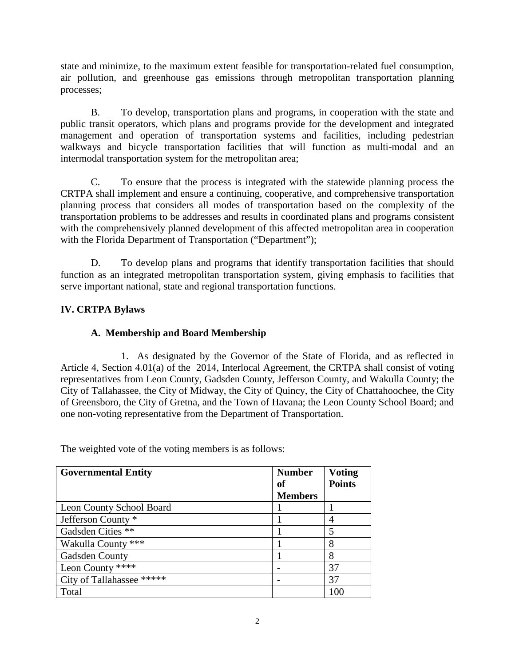state and minimize, to the maximum extent feasible for transportation-related fuel consumption, air pollution, and greenhouse gas emissions through metropolitan transportation planning processes;

B. To develop, transportation plans and programs, in cooperation with the state and public transit operators, which plans and programs provide for the development and integrated management and operation of transportation systems and facilities, including pedestrian walkways and bicycle transportation facilities that will function as multi-modal and an intermodal transportation system for the metropolitan area;

C. To ensure that the process is integrated with the statewide planning process the CRTPA shall implement and ensure a continuing, cooperative, and comprehensive transportation planning process that considers all modes of transportation based on the complexity of the transportation problems to be addresses and results in coordinated plans and programs consistent with the comprehensively planned development of this affected metropolitan area in cooperation with the Florida Department of Transportation ("Department");

D. To develop plans and programs that identify transportation facilities that should function as an integrated metropolitan transportation system, giving emphasis to facilities that serve important national, state and regional transportation functions.

# **IV. CRTPA Bylaws**

# **A. Membership and Board Membership**

1. As designated by the Governor of the State of Florida, and as reflected in Article 4, Section 4.01(a) of the 2014, Interlocal Agreement, the CRTPA shall consist of voting representatives from Leon County, Gadsden County, Jefferson County, and Wakulla County; the City of Tallahassee, the City of Midway, the City of Quincy, the City of Chattahoochee, the City of Greensboro, the City of Gretna, and the Town of Havana; the Leon County School Board; and one non-voting representative from the Department of Transportation.

| <b>Governmental Entity</b> | <b>Number</b><br>оf<br><b>Members</b> | <b>Voting</b><br><b>Points</b> |
|----------------------------|---------------------------------------|--------------------------------|
| Leon County School Board   |                                       |                                |
| Jefferson County *         |                                       | 4                              |
| Gadsden Cities **          |                                       | 5                              |
| Wakulla County ***         |                                       | 8                              |
| Gadsden County             |                                       | 8                              |
| Leon County ****           |                                       | 37                             |
| City of Tallahassee *****  |                                       | 37                             |
| Total                      |                                       | 100                            |

The weighted vote of the voting members is as follows: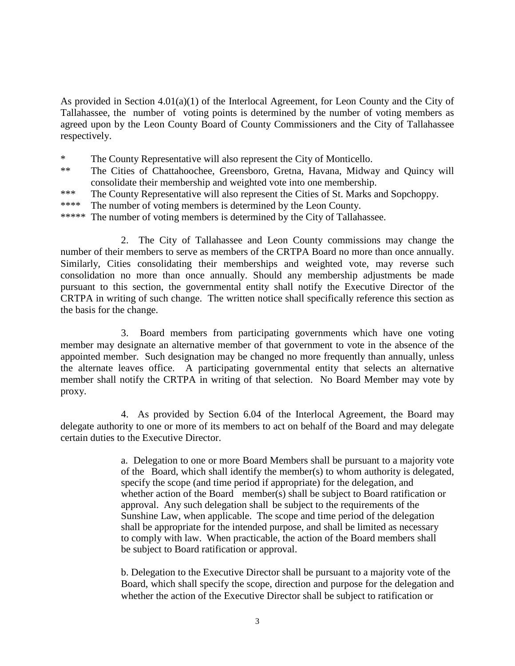As provided in Section 4.01(a)(1) of the Interlocal Agreement, for Leon County and the City of Tallahassee, the number of voting points is determined by the number of voting members as agreed upon by the Leon County Board of County Commissioners and the City of Tallahassee respectively.

\* The County Representative will also represent the City of Monticello.

- \*\* The Cities of Chattahoochee, Greensboro, Gretna, Havana, Midway and Quincy will consolidate their membership and weighted vote into one membership.
- \*\*\* The County Representative will also represent the Cities of St. Marks and Sopchoppy.
- \*\*\*\* The number of voting members is determined by the Leon County.
- \*\*\*\*\* The number of voting members is determined by the City of Tallahassee.

2. The City of Tallahassee and Leon County commissions may change the number of their members to serve as members of the CRTPA Board no more than once annually. Similarly, Cities consolidating their memberships and weighted vote, may reverse such consolidation no more than once annually. Should any membership adjustments be made pursuant to this section, the governmental entity shall notify the Executive Director of the CRTPA in writing of such change. The written notice shall specifically reference this section as the basis for the change.

3. Board members from participating governments which have one voting member may designate an alternative member of that government to vote in the absence of the appointed member. Such designation may be changed no more frequently than annually, unless the alternate leaves office. A participating governmental entity that selects an alternative member shall notify the CRTPA in writing of that selection. No Board Member may vote by proxy.

4. As provided by Section 6.04 of the Interlocal Agreement, the Board may delegate authority to one or more of its members to act on behalf of the Board and may delegate certain duties to the Executive Director.

> a. Delegation to one or more Board Members shall be pursuant to a majority vote of the Board, which shall identify the member(s) to whom authority is delegated, specify the scope (and time period if appropriate) for the delegation, and whether action of the Board member(s) shall be subject to Board ratification or approval. Any such delegation shall be subject to the requirements of the Sunshine Law, when applicable. The scope and time period of the delegation shall be appropriate for the intended purpose, and shall be limited as necessary to comply with law. When practicable, the action of the Board members shall be subject to Board ratification or approval.

> b. Delegation to the Executive Director shall be pursuant to a majority vote of the Board, which shall specify the scope, direction and purpose for the delegation and whether the action of the Executive Director shall be subject to ratification or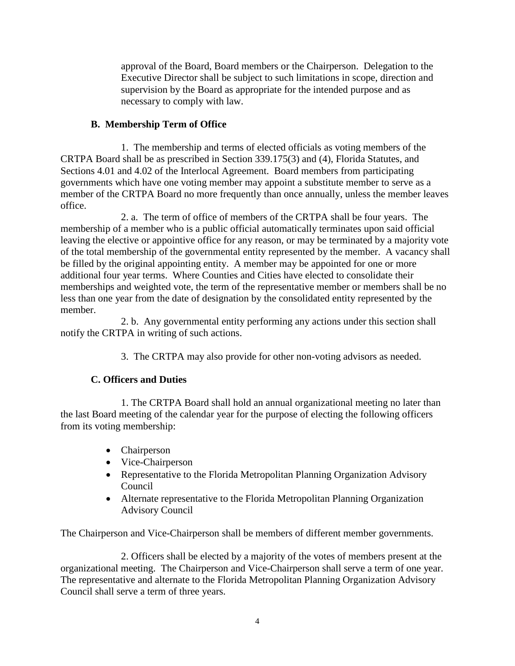approval of the Board, Board members or the Chairperson. Delegation to the Executive Director shall be subject to such limitations in scope, direction and supervision by the Board as appropriate for the intended purpose and as necessary to comply with law.

# **B. Membership Term of Office**

1. The membership and terms of elected officials as voting members of the CRTPA Board shall be as prescribed in Section 339.175(3) and (4), Florida Statutes, and Sections 4.01 and 4.02 of the Interlocal Agreement. Board members from participating governments which have one voting member may appoint a substitute member to serve as a member of the CRTPA Board no more frequently than once annually, unless the member leaves office.

2. a. The term of office of members of the CRTPA shall be four years. The membership of a member who is a public official automatically terminates upon said official leaving the elective or appointive office for any reason, or may be terminated by a majority vote of the total membership of the governmental entity represented by the member. A vacancy shall be filled by the original appointing entity. A member may be appointed for one or more additional four year terms. Where Counties and Cities have elected to consolidate their memberships and weighted vote, the term of the representative member or members shall be no less than one year from the date of designation by the consolidated entity represented by the member.

2. b. Any governmental entity performing any actions under this section shall notify the CRTPA in writing of such actions.

3. The CRTPA may also provide for other non-voting advisors as needed.

# **C. Officers and Duties**

1. The CRTPA Board shall hold an annual organizational meeting no later than the last Board meeting of the calendar year for the purpose of electing the following officers from its voting membership:

- Chairperson
- Vice-Chairperson
- Representative to the Florida Metropolitan Planning Organization Advisory Council
- Alternate representative to the Florida Metropolitan Planning Organization Advisory Council

The Chairperson and Vice-Chairperson shall be members of different member governments.

2. Officers shall be elected by a majority of the votes of members present at the organizational meeting. The Chairperson and Vice-Chairperson shall serve a term of one year. The representative and alternate to the Florida Metropolitan Planning Organization Advisory Council shall serve a term of three years.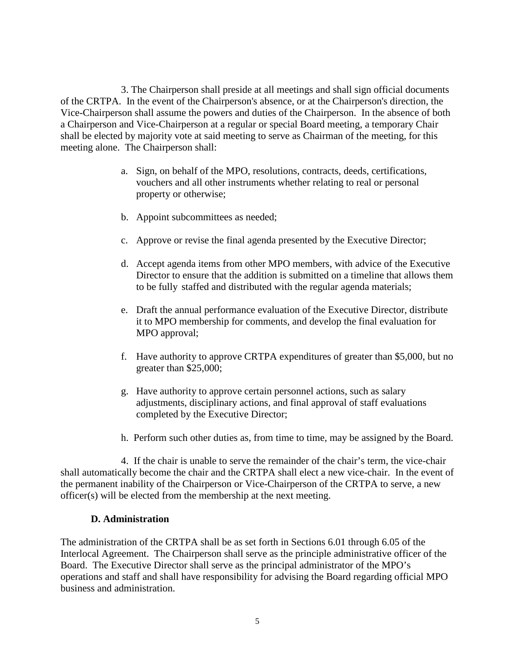3. The Chairperson shall preside at all meetings and shall sign official documents of the CRTPA. In the event of the Chairperson's absence, or at the Chairperson's direction, the Vice-Chairperson shall assume the powers and duties of the Chairperson. In the absence of both a Chairperson and Vice-Chairperson at a regular or special Board meeting, a temporary Chair shall be elected by majority vote at said meeting to serve as Chairman of the meeting, for this meeting alone. The Chairperson shall:

- a. Sign, on behalf of the MPO, resolutions, contracts, deeds, certifications, vouchers and all other instruments whether relating to real or personal property or otherwise;
- b. Appoint subcommittees as needed;
- c. Approve or revise the final agenda presented by the Executive Director;
- d. Accept agenda items from other MPO members, with advice of the Executive Director to ensure that the addition is submitted on a timeline that allows them to be fully staffed and distributed with the regular agenda materials;
- e. Draft the annual performance evaluation of the Executive Director, distribute it to MPO membership for comments, and develop the final evaluation for MPO approval;
- f. Have authority to approve CRTPA expenditures of greater than \$5,000, but no greater than \$25,000;
- g. Have authority to approve certain personnel actions, such as salary adjustments, disciplinary actions, and final approval of staff evaluations completed by the Executive Director;
- h. Perform such other duties as, from time to time, may be assigned by the Board.

4. If the chair is unable to serve the remainder of the chair's term, the vice-chair shall automatically become the chair and the CRTPA shall elect a new vice-chair. In the event of the permanent inability of the Chairperson or Vice-Chairperson of the CRTPA to serve, a new officer(s) will be elected from the membership at the next meeting.

### **D. Administration**

The administration of the CRTPA shall be as set forth in Sections 6.01 through 6.05 of the Interlocal Agreement. The Chairperson shall serve as the principle administrative officer of the Board. The Executive Director shall serve as the principal administrator of the MPO's operations and staff and shall have responsibility for advising the Board regarding official MPO business and administration.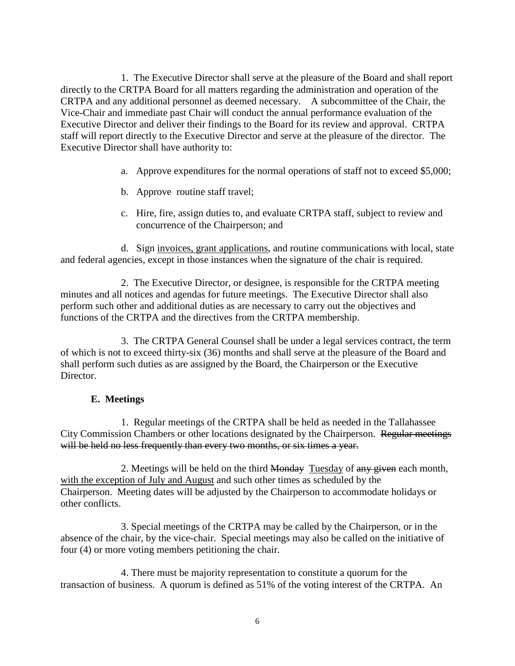1. The Executive Director shall serve at the pleasure of the Board and shall report directly to the CRTPA Board for all matters regarding the administration and operation of the CRTPA and any additional personnel as deemed necessary. A subcommittee of the Chair, the Vice-Chair and immediate past Chair will conduct the annual performance evaluation of the Executive Director and deliver their findings to the Board for its review and approval. CRTPA staff will report directly to the Executive Director and serve at the pleasure of the director. The Executive Director shall have authority to:

- a. Approve expenditures for the normal operations of staff not to exceed \$5,000;
- b. Approve routine staff travel;
- c. Hire, fire, assign duties to, and evaluate CRTPA staff, subject to review and concurrence of the Chairperson; and

d. Sign invoices, grant applications, and routine communications with local, state and federal agencies, except in those instances when the signature of the chair is required.

2. The Executive Director, or designee, is responsible for the CRTPA meeting minutes and all notices and agendas for future meetings. The Executive Director shall also perform such other and additional duties as are necessary to carry out the objectives and functions of the CRTPA and the directives from the CRTPA membership.

3. The CRTPA General Counsel shall be under a legal services contract, the term of which is not to exceed thirty-six (36) months and shall serve at the pleasure of the Board and shall perform such duties as are assigned by the Board, the Chairperson or the Executive Director.

### **E. Meetings**

1. Regular meetings of the CRTPA shall be held as needed in the Tallahassee City Commission Chambers or other locations designated by the Chairperson. Regular meetings will be held no less frequently than every two months, or six times a year.

2. Meetings will be held on the third Monday Tuesday of any given each month, with the exception of July and August and such other times as scheduled by the Chairperson. Meeting dates will be adjusted by the Chairperson to accommodate holidays or other conflicts.

3. Special meetings of the CRTPA may be called by the Chairperson, or in the absence of the chair, by the vice-chair. Special meetings may also be called on the initiative of four (4) or more voting members petitioning the chair.

4. There must be majority representation to constitute a quorum for the transaction of business. A quorum is defined as 51% of the voting interest of the CRTPA. An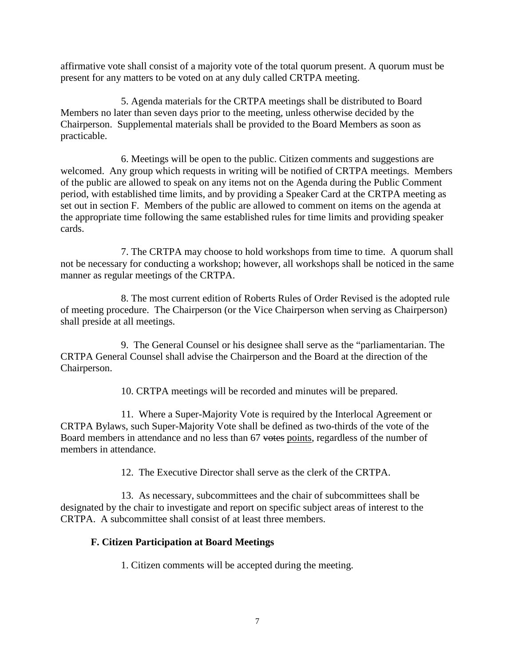affirmative vote shall consist of a majority vote of the total quorum present. A quorum must be present for any matters to be voted on at any duly called CRTPA meeting.

5. Agenda materials for the CRTPA meetings shall be distributed to Board Members no later than seven days prior to the meeting, unless otherwise decided by the Chairperson. Supplemental materials shall be provided to the Board Members as soon as practicable.

6. Meetings will be open to the public. Citizen comments and suggestions are welcomed. Any group which requests in writing will be notified of CRTPA meetings. Members of the public are allowed to speak on any items not on the Agenda during the Public Comment period, with established time limits, and by providing a Speaker Card at the CRTPA meeting as set out in section F. Members of the public are allowed to comment on items on the agenda at the appropriate time following the same established rules for time limits and providing speaker cards.

7. The CRTPA may choose to hold workshops from time to time. A quorum shall not be necessary for conducting a workshop; however, all workshops shall be noticed in the same manner as regular meetings of the CRTPA.

8. The most current edition of Roberts Rules of Order Revised is the adopted rule of meeting procedure. The Chairperson (or the Vice Chairperson when serving as Chairperson) shall preside at all meetings.

9. The General Counsel or his designee shall serve as the "parliamentarian. The CRTPA General Counsel shall advise the Chairperson and the Board at the direction of the Chairperson.

10. CRTPA meetings will be recorded and minutes will be prepared.

11. Where a Super-Majority Vote is required by the Interlocal Agreement or CRTPA Bylaws, such Super-Majority Vote shall be defined as two-thirds of the vote of the Board members in attendance and no less than 67 votes points, regardless of the number of members in attendance.

12. The Executive Director shall serve as the clerk of the CRTPA.

13. As necessary, subcommittees and the chair of subcommittees shall be designated by the chair to investigate and report on specific subject areas of interest to the CRTPA. A subcommittee shall consist of at least three members.

## **F. Citizen Participation at Board Meetings**

1. Citizen comments will be accepted during the meeting.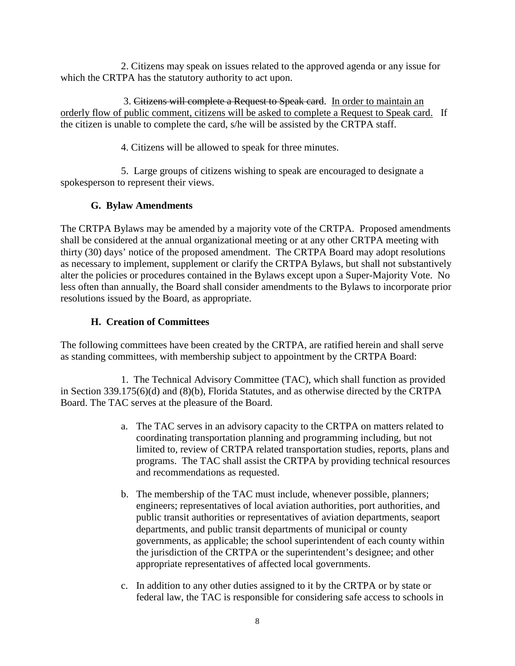2. Citizens may speak on issues related to the approved agenda or any issue for which the CRTPA has the statutory authority to act upon.

3. Citizens will complete a Request to Speak card. In order to maintain an orderly flow of public comment, citizens will be asked to complete a Request to Speak card. If the citizen is unable to complete the card, s/he will be assisted by the CRTPA staff.

4. Citizens will be allowed to speak for three minutes.

5. Large groups of citizens wishing to speak are encouraged to designate a spokesperson to represent their views.

# **G. Bylaw Amendments**

The CRTPA Bylaws may be amended by a majority vote of the CRTPA. Proposed amendments shall be considered at the annual organizational meeting or at any other CRTPA meeting with thirty (30) days' notice of the proposed amendment. The CRTPA Board may adopt resolutions as necessary to implement, supplement or clarify the CRTPA Bylaws, but shall not substantively alter the policies or procedures contained in the Bylaws except upon a Super-Majority Vote. No less often than annually, the Board shall consider amendments to the Bylaws to incorporate prior resolutions issued by the Board, as appropriate.

# **H. Creation of Committees**

The following committees have been created by the CRTPA, are ratified herein and shall serve as standing committees, with membership subject to appointment by the CRTPA Board:

1. The Technical Advisory Committee (TAC), which shall function as provided in Section 339.175(6)(d) and (8)(b), Florida Statutes, and as otherwise directed by the CRTPA Board. The TAC serves at the pleasure of the Board.

- a. The TAC serves in an advisory capacity to the CRTPA on matters related to coordinating transportation planning and programming including, but not limited to, review of CRTPA related transportation studies, reports, plans and programs. The TAC shall assist the CRTPA by providing technical resources and recommendations as requested.
- b. The membership of the TAC must include, whenever possible, planners; engineers; representatives of local aviation authorities, port authorities, and public transit authorities or representatives of aviation departments, seaport departments, and public transit departments of municipal or county governments, as applicable; the school superintendent of each county within the jurisdiction of the CRTPA or the superintendent's designee; and other appropriate representatives of affected local governments.
- c. In addition to any other duties assigned to it by the CRTPA or by state or federal law, the TAC is responsible for considering safe access to schools in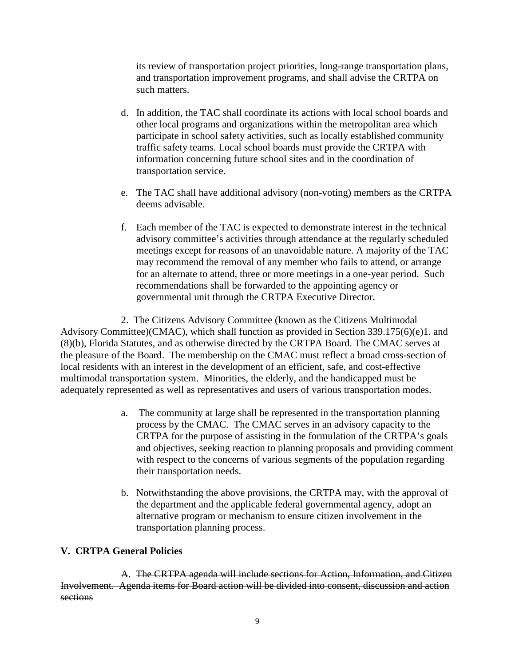its review of transportation project priorities, long-range transportation plans, and transportation improvement programs, and shall advise the CRTPA on such matters.

- d. In addition, the TAC shall coordinate its actions with local school boards and other local programs and organizations within the metropolitan area which participate in school safety activities, such as locally established community traffic safety teams. Local school boards must provide the CRTPA with information concerning future school sites and in the coordination of transportation service.
- e. The TAC shall have additional advisory (non-voting) members as the CRTPA deems advisable.
- f. Each member of the TAC is expected to demonstrate interest in the technical advisory committee's activities through attendance at the regularly scheduled meetings except for reasons of an unavoidable nature. A majority of the TAC may recommend the removal of any member who fails to attend, or arrange for an alternate to attend, three or more meetings in a one-year period. Such recommendations shall be forwarded to the appointing agency or governmental unit through the CRTPA Executive Director.

2. The Citizens Advisory Committee (known as the Citizens Multimodal Advisory Committee)(CMAC), which shall function as provided in Section 339.175(6)(e)1. and (8)(b), Florida Statutes, and as otherwise directed by the CRTPA Board. The CMAC serves at the pleasure of the Board. The membership on the CMAC must reflect a broad cross-section of local residents with an interest in the development of an efficient, safe, and cost-effective multimodal transportation system. Minorities, the elderly, and the handicapped must be adequately represented as well as representatives and users of various transportation modes.

- a. The community at large shall be represented in the transportation planning process by the CMAC. The CMAC serves in an advisory capacity to the CRTPA for the purpose of assisting in the formulation of the CRTPA's goals and objectives, seeking reaction to planning proposals and providing comment with respect to the concerns of various segments of the population regarding their transportation needs.
- b. Notwithstanding the above provisions, the CRTPA may, with the approval of the department and the applicable federal governmental agency, adopt an alternative program or mechanism to ensure citizen involvement in the transportation planning process.

## **V. CRTPA General Policies**

A. The CRTPA agenda will include sections for Action, Information, and Citizen Involvement. Agenda items for Board action will be divided into consent, discussion and action sections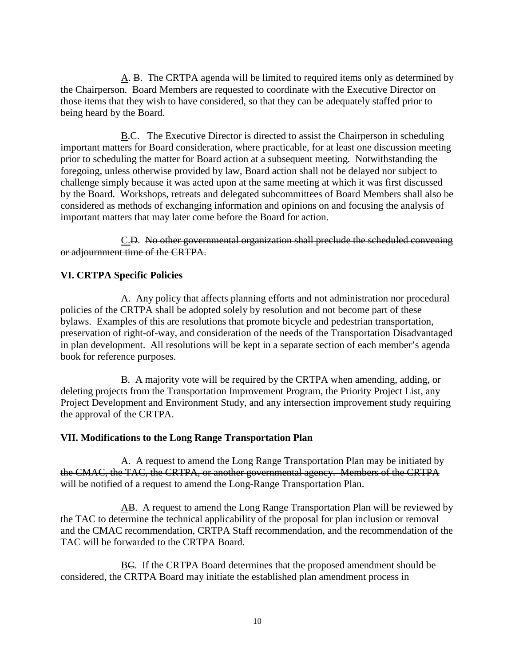A. B. The CRTPA agenda will be limited to required items only as determined by the Chairperson. Board Members are requested to coordinate with the Executive Director on those items that they wish to have considered, so that they can be adequately staffed prior to being heard by the Board.

 $\underline{B}.\overline{C}$ . The Executive Director is directed to assist the Chairperson in scheduling important matters for Board consideration, where practicable, for at least one discussion meeting prior to scheduling the matter for Board action at a subsequent meeting. Notwithstanding the foregoing, unless otherwise provided by law, Board action shall not be delayed nor subject to challenge simply because it was acted upon at the same meeting at which it was first discussed by the Board. Workshops, retreats and delegated subcommittees of Board Members shall also be considered as methods of exchanging information and opinions on and focusing the analysis of important matters that may later come before the Board for action.

C.D. No other governmental organization shall preclude the scheduled convening or adjournment time of the CRTPA.

# **VI. CRTPA Specific Policies**

A. Any policy that affects planning efforts and not administration nor procedural policies of the CRTPA shall be adopted solely by resolution and not become part of these bylaws. Examples of this are resolutions that promote bicycle and pedestrian transportation, preservation of right-of-way, and consideration of the needs of the Transportation Disadvantaged in plan development. All resolutions will be kept in a separate section of each member's agenda book for reference purposes.

B. A majority vote will be required by the CRTPA when amending, adding, or deleting projects from the Transportation Improvement Program, the Priority Project List, any Project Development and Environment Study, and any intersection improvement study requiring the approval of the CRTPA.

## **VII. Modifications to the Long Range Transportation Plan**

A. A request to amend the Long Range Transportation Plan may be initiated by the CMAC, the TAC, the CRTPA, or another governmental agency. Members of the CRTPA will be notified of a request to amend the Long-Range Transportation Plan.

AB. A request to amend the Long Range Transportation Plan will be reviewed by the TAC to determine the technical applicability of the proposal for plan inclusion or removal and the CMAC recommendation, CRTPA Staff recommendation, and the recommendation of the TAC will be forwarded to the CRTPA Board.

BC. If the CRTPA Board determines that the proposed amendment should be considered, the CRTPA Board may initiate the established plan amendment process in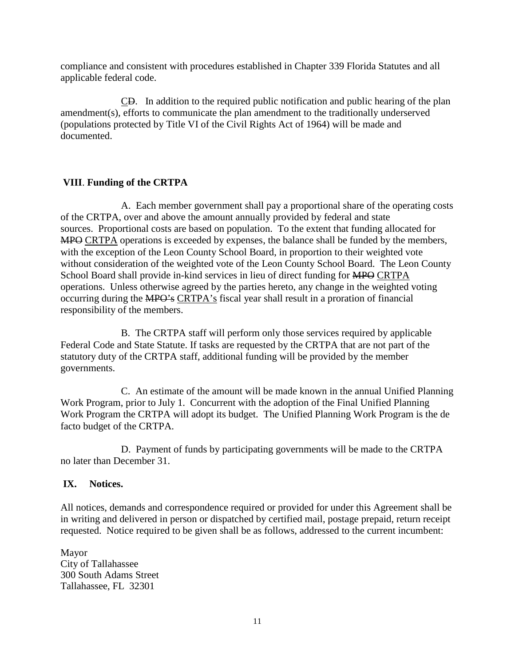compliance and consistent with procedures established in Chapter 339 Florida Statutes and all applicable federal code.

CD. In addition to the required public notification and public hearing of the plan amendment(s), efforts to communicate the plan amendment to the traditionally underserved (populations protected by Title VI of the Civil Rights Act of 1964) will be made and documented.

### **VIII**. **Funding of the CRTPA**

A. Each member government shall pay a proportional share of the operating costs of the CRTPA, over and above the amount annually provided by federal and state sources. Proportional costs are based on population. To the extent that funding allocated for MPO CRTPA operations is exceeded by expenses, the balance shall be funded by the members, with the exception of the Leon County School Board, in proportion to their weighted vote without consideration of the weighted vote of the Leon County School Board. The Leon County School Board shall provide in-kind services in lieu of direct funding for MPO CRTPA operations. Unless otherwise agreed by the parties hereto, any change in the weighted voting occurring during the MPO's CRTPA's fiscal year shall result in a proration of financial responsibility of the members.

B. The CRTPA staff will perform only those services required by applicable Federal Code and State Statute. If tasks are requested by the CRTPA that are not part of the statutory duty of the CRTPA staff, additional funding will be provided by the member governments.

C. An estimate of the amount will be made known in the annual Unified Planning Work Program, prior to July 1. Concurrent with the adoption of the Final Unified Planning Work Program the CRTPA will adopt its budget. The Unified Planning Work Program is the de facto budget of the CRTPA.

D. Payment of funds by participating governments will be made to the CRTPA no later than December 31.

### **IX. Notices.**

All notices, demands and correspondence required or provided for under this Agreement shall be in writing and delivered in person or dispatched by certified mail, postage prepaid, return receipt requested. Notice required to be given shall be as follows, addressed to the current incumbent:

Mayor City of Tallahassee 300 South Adams Street Tallahassee, FL 32301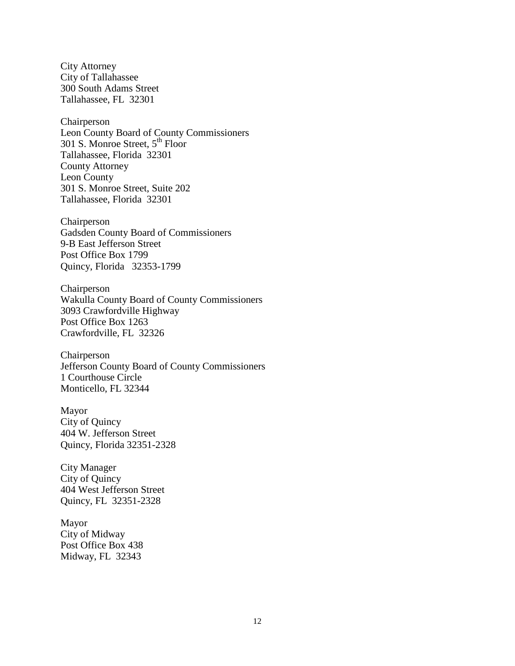City Attorney City of Tallahassee 300 South Adams Street Tallahassee, FL 32301

Chairperson Leon County Board of County Commissioners 301 S. Monroe Street, 5<sup>th</sup> Floor Tallahassee, Florida 32301 County Attorney Leon County 301 S. Monroe Street, Suite 202 Tallahassee, Florida 32301

Chairperson Gadsden County Board of Commissioners 9-B East Jefferson Street Post Office Box 1799 Quincy, Florida 32353-1799

Chairperson Wakulla County Board of County Commissioners 3093 Crawfordville Highway Post Office Box 1263 Crawfordville, FL 32326

Chairperson Jefferson County Board of County Commissioners 1 Courthouse Circle Monticello, FL 32344

Mayor City of Quincy 404 W. Jefferson Street Quincy, Florida 32351-2328

City Manager City of Quincy 404 West Jefferson Street Quincy, FL 32351-2328

Mayor City of Midway Post Office Box 438 Midway, FL 32343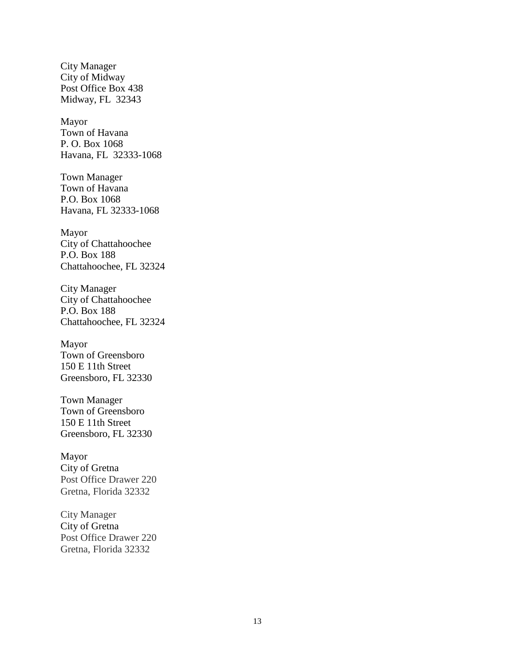City Manager City of Midway Post Office Box 438 Midway, FL 32343

Mayor Town of Havana P. O. Box 1068 Havana, FL 32333-1068

Town Manager Town of Havana P.O. Box 1068 Havana, FL 32333-1068

Mayor City of Chattahoochee P.O. Box 188 Chattahoochee, FL 32324

City Manager City of Chattahoochee P.O. Box 188 Chattahoochee, FL 32324

Mayor Town of Greensboro 150 E 11th Street Greensboro, FL 32330

Town Manager Town of Greensboro 150 E 11th Street Greensboro, FL 32330

Mayor City of Gretna Post Office Drawer 220 Gretna, Florida 32332

City Manager City of Gretna Post Office Drawer 220 Gretna, Florida 32332